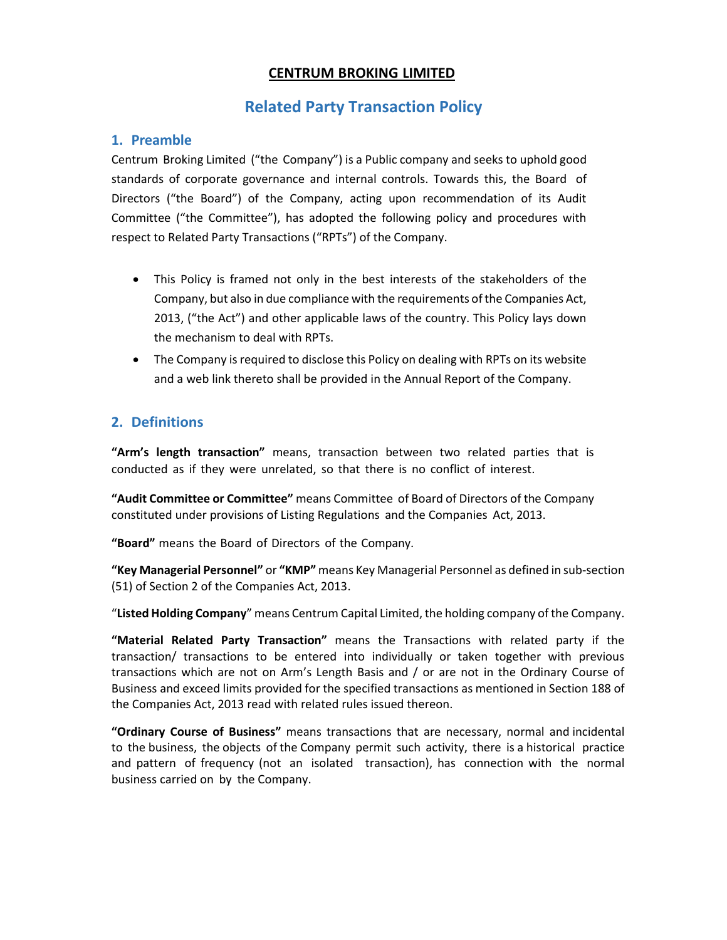## **CENTRUM BROKING LIMITED**

## **Related Party Transaction Policy**

## **1. Preamble**

Centrum Broking Limited ("the Company") is a Public company and seeks to uphold good standards of corporate governance and internal controls. Towards this, the Board of Directors ("the Board") of the Company, acting upon recommendation of its Audit Committee ("the Committee"), has adopted the following policy and procedures with respect to Related Party Transactions ("RPTs") of the Company.

- This Policy is framed not only in the best interests of the stakeholders of the Company, but also in due compliance with the requirements of the Companies Act, 2013, ("the Act") and other applicable laws of the country. This Policy lays down the mechanism to deal with RPTs.
- The Company is required to disclose this Policy on dealing with RPTs on its website and a web link thereto shall be provided in the Annual Report of the Company.

## **2. Definitions**

**"Arm's length transaction"** means, transaction between two related parties that is conducted as if they were unrelated, so that there is no conflict of interest.

**"Audit Committee or Committee"** means Committee of Board of Directors of the Company constituted under provisions of Listing Regulations and the Companies Act, 2013.

**"Board"** means the Board of Directors of the Company.

**"Key Managerial Personnel"** or **"KMP"** means Key Managerial Personnel as defined in sub-section (51) of Section 2 of the Companies Act, 2013.

"**Listed Holding Company**" means Centrum Capital Limited, the holding company of the Company.

**"Material Related Party Transaction"** means the Transactions with related party if the transaction/ transactions to be entered into individually or taken together with previous transactions which are not on Arm's Length Basis and / or are not in the Ordinary Course of Business and exceed limits provided for the specified transactions as mentioned in Section 188 of the Companies Act, 2013 read with related rules issued thereon.

**"Ordinary Course of Business"** means transactions that are necessary, normal and incidental to the business, the objects of the Company permit such activity, there is a historical practice and pattern of frequency (not an isolated transaction), has connection with the normal business carried on by the Company.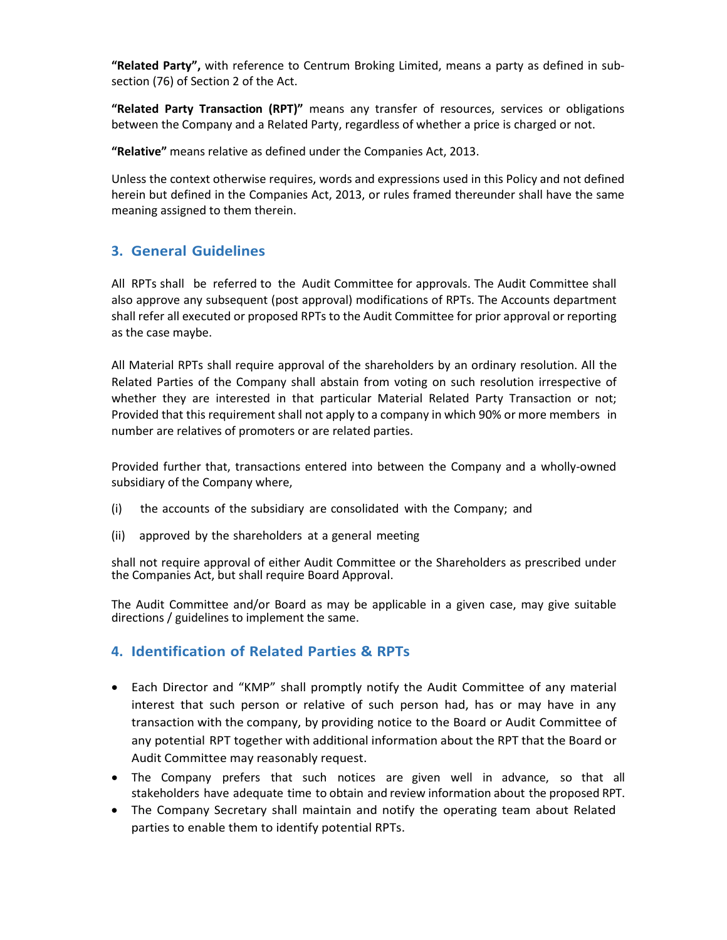**"Related Party",** with reference to Centrum Broking Limited, means a party as defined in sub‐ section (76) of Section 2 of the Act.

**"Related Party Transaction (RPT)"** means any transfer of resources, services or obligations between the Company and a Related Party, regardless of whether a price is charged or not.

**"Relative"** means relative as defined under the Companies Act, 2013.

Unless the context otherwise requires, words and expressions used in this Policy and not defined herein but defined in the Companies Act, 2013, or rules framed thereunder shall have the same meaning assigned to them therein.

## **3. General Guidelines**

All RPTs shall be referred to the Audit Committee for approvals. The Audit Committee shall also approve any subsequent (post approval) modifications of RPTs. The Accounts department shall refer all executed or proposed RPTs to the Audit Committee for prior approval or reporting as the case maybe.

All Material RPTs shall require approval of the shareholders by an ordinary resolution. All the Related Parties of the Company shall abstain from voting on such resolution irrespective of whether they are interested in that particular Material Related Party Transaction or not; Provided that this requirement shall not apply to a company in which 90% or more members in number are relatives of promoters or are related parties.

Provided further that, transactions entered into between the Company and a wholly‐owned subsidiary of the Company where,

- (i) the accounts of the subsidiary are consolidated with the Company; and
- (ii) approved by the shareholders at a general meeting

shall not require approval of either Audit Committee or the Shareholders as prescribed under the Companies Act, but shall require Board Approval.

The Audit Committee and/or Board as may be applicable in a given case, may give suitable directions / guidelines to implement the same.

## **4. Identification of Related Parties & RPTs**

- Each Director and "KMP" shall promptly notify the Audit Committee of any material interest that such person or relative of such person had, has or may have in any transaction with the company, by providing notice to the Board or Audit Committee of any potential RPT together with additional information about the RPT that the Board or Audit Committee may reasonably request.
- The Company prefers that such notices are given well in advance, so that all stakeholders have adequate time to obtain and review information about the proposed RPT.
- The Company Secretary shall maintain and notify the operating team about Related parties to enable them to identify potential RPTs.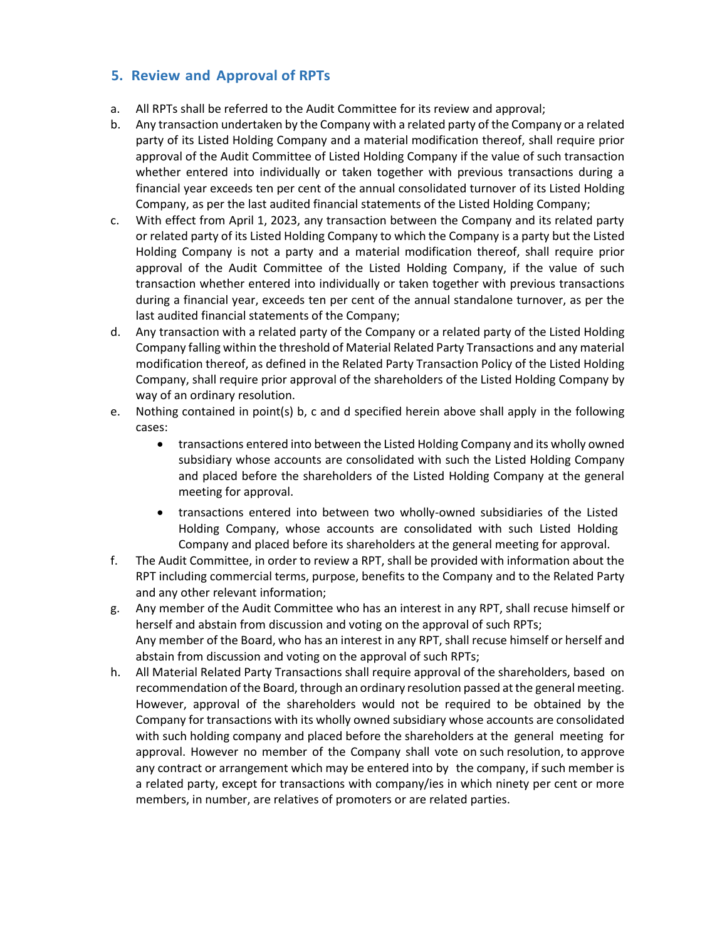## **5. Review and Approval of RPTs**

- a. All RPTs shall be referred to the Audit Committee for its review and approval;
- b. Any transaction undertaken by the Company with a related party of the Company or a related party of its Listed Holding Company and a material modification thereof, shall require prior approval of the Audit Committee of Listed Holding Company if the value of such transaction whether entered into individually or taken together with previous transactions during a financial year exceeds ten per cent of the annual consolidated turnover of its Listed Holding Company, as per the last audited financial statements of the Listed Holding Company;
- c. With effect from April 1, 2023, any transaction between the Company and its related party or related party of its Listed Holding Company to which the Company is a party but the Listed Holding Company is not a party and a material modification thereof, shall require prior approval of the Audit Committee of the Listed Holding Company, if the value of such transaction whether entered into individually or taken together with previous transactions during a financial year, exceeds ten per cent of the annual standalone turnover, as per the last audited financial statements of the Company;
- d. Any transaction with a related party of the Company or a related party of the Listed Holding Company falling within the threshold of Material Related Party Transactions and any material modification thereof, as defined in the Related Party Transaction Policy of the Listed Holding Company, shall require prior approval of the shareholders of the Listed Holding Company by way of an ordinary resolution.
- e. Nothing contained in point(s) b, c and d specified herein above shall apply in the following cases:
	- transactions entered into between the Listed Holding Company and its wholly owned subsidiary whose accounts are consolidated with such the Listed Holding Company and placed before the shareholders of the Listed Holding Company at the general meeting for approval.
	- transactions entered into between two wholly-owned subsidiaries of the Listed Holding Company, whose accounts are consolidated with such Listed Holding Company and placed before its shareholders at the general meeting for approval.
- f. The Audit Committee, in order to review a RPT, shall be provided with information about the RPT including commercial terms, purpose, benefits to the Company and to the Related Party and any other relevant information;
- g. Any member of the Audit Committee who has an interest in any RPT, shall recuse himself or herself and abstain from discussion and voting on the approval of such RPTs; Any member of the Board, who has an interest in any RPT, shall recuse himself or herself and abstain from discussion and voting on the approval of such RPTs;
- h. All Material Related Party Transactions shall require approval of the shareholders, based on recommendation of the Board, through an ordinary resolution passed at the general meeting. However, approval of the shareholders would not be required to be obtained by the Company for transactions with its wholly owned subsidiary whose accounts are consolidated with such holding company and placed before the shareholders at the general meeting for approval. However no member of the Company shall vote on such resolution, to approve any contract or arrangement which may be entered into by the company, if such member is a related party, except for transactions with company/ies in which ninety per cent or more members, in number, are relatives of promoters or are related parties.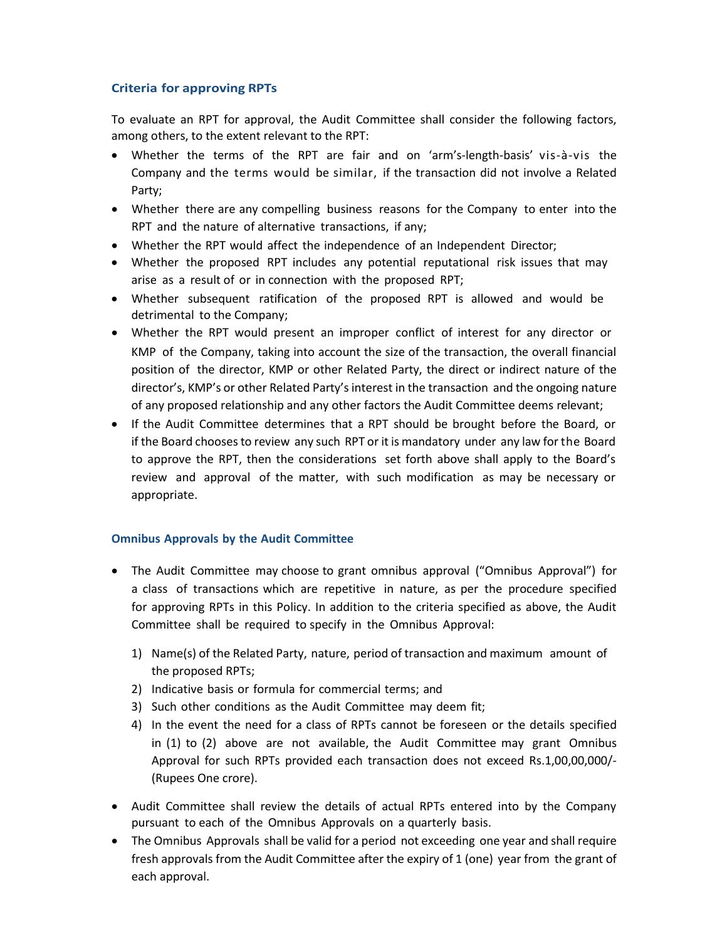#### **Criteria for approving RPTs**

To evaluate an RPT for approval, the Audit Committee shall consider the following factors, among others, to the extent relevant to the RPT:

- Whether the terms of the RPT are fair and on 'arm's‐length‐basis' vis‐à‐vis the Company and the terms would be similar, if the transaction did not involve a Related Party;
- Whether there are any compelling business reasons for the Company to enter into the RPT and the nature of alternative transactions, if any;
- Whether the RPT would affect the independence of an Independent Director;
- Whether the proposed RPT includes any potential reputational risk issues that may arise as a result of or in connection with the proposed RPT;
- Whether subsequent ratification of the proposed RPT is allowed and would be detrimental to the Company;
- Whether the RPT would present an improper conflict of interest for any director or KMP of the Company, taking into account the size of the transaction, the overall financial position of the director, KMP or other Related Party, the direct or indirect nature of the director's, KMP's or other Related Party's interest in the transaction and the ongoing nature of any proposed relationship and any other factors the Audit Committee deems relevant;
- If the Audit Committee determines that a RPT should be brought before the Board, or if the Board chooses to review any such RPT or it is mandatory under any law for the Board to approve the RPT, then the considerations set forth above shall apply to the Board's review and approval of the matter, with such modification as may be necessary or appropriate.

#### **Omnibus Approvals by the Audit Committee**

- The Audit Committee may choose to grant omnibus approval ("Omnibus Approval") for a class of transactions which are repetitive in nature, as per the procedure specified for approving RPTs in this Policy. In addition to the criteria specified as above, the Audit Committee shall be required to specify in the Omnibus Approval:
	- 1) Name(s) of the Related Party, nature, period of transaction and maximum amount of the proposed RPTs;
	- 2) Indicative basis or formula for commercial terms; and
	- 3) Such other conditions as the Audit Committee may deem fit;
	- 4) In the event the need for a class of RPTs cannot be foreseen or the details specified in (1) to (2) above are not available, the Audit Committee may grant Omnibus Approval for such RPTs provided each transaction does not exceed Rs.1,00,00,000/‐ (Rupees One crore).
- Audit Committee shall review the details of actual RPTs entered into by the Company pursuant to each of the Omnibus Approvals on a quarterly basis.
- The Omnibus Approvals shall be valid for a period not exceeding one year and shall require fresh approvals from the Audit Committee after the expiry of 1 (one) year from the grant of each approval.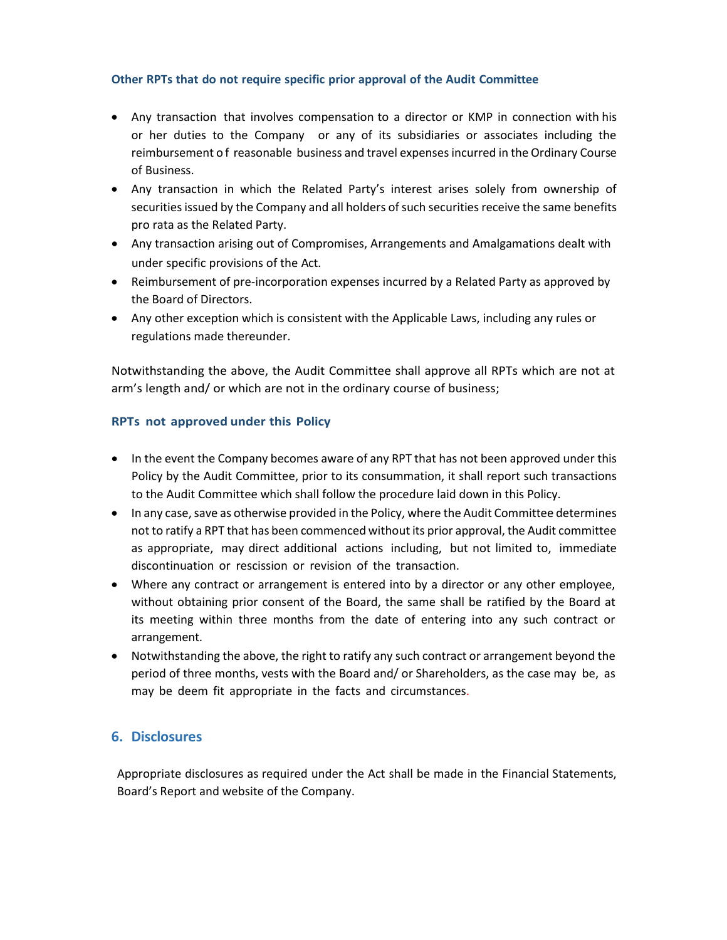#### **Other RPTs that do not require specific prior approval of the Audit Committee**

- Any transaction that involves compensation to a director or KMP in connection with his or her duties to the Company or any of its subsidiaries or associates including the reimbursement o f reasonable business and travel expenses incurred in the Ordinary Course of Business.
- Any transaction in which the Related Party's interest arises solely from ownership of securities issued by the Company and all holders of such securities receive the same benefits pro rata as the Related Party.
- Any transaction arising out of Compromises, Arrangements and Amalgamations dealt with under specific provisions of the Act.
- Reimbursement of pre-incorporation expenses incurred by a Related Party as approved by the Board of Directors.
- Any other exception which is consistent with the Applicable Laws, including any rules or regulations made thereunder.

Notwithstanding the above, the Audit Committee shall approve all RPTs which are not at arm's length and/ or which are not in the ordinary course of business;

#### **RPTs not approved under this Policy**

- In the event the Company becomes aware of any RPT that has not been approved under this Policy by the Audit Committee, prior to its consummation, it shall report such transactions to the Audit Committee which shall follow the procedure laid down in this Policy.
- In any case, save as otherwise provided in the Policy, where the Audit Committee determines not to ratify a RPT that has been commenced without its prior approval, the Audit committee as appropriate, may direct additional actions including, but not limited to, immediate discontinuation or rescission or revision of the transaction.
- Where any contract or arrangement is entered into by a director or any other employee, without obtaining prior consent of the Board, the same shall be ratified by the Board at its meeting within three months from the date of entering into any such contract or arrangement.
- Notwithstanding the above, the right to ratify any such contract or arrangement beyond the period of three months, vests with the Board and/ or Shareholders, as the case may be, as may be deem fit appropriate in the facts and circumstances.

## **6. Disclosures**

Appropriate disclosures as required under the Act shall be made in the Financial Statements, Board's Report and website of the Company.